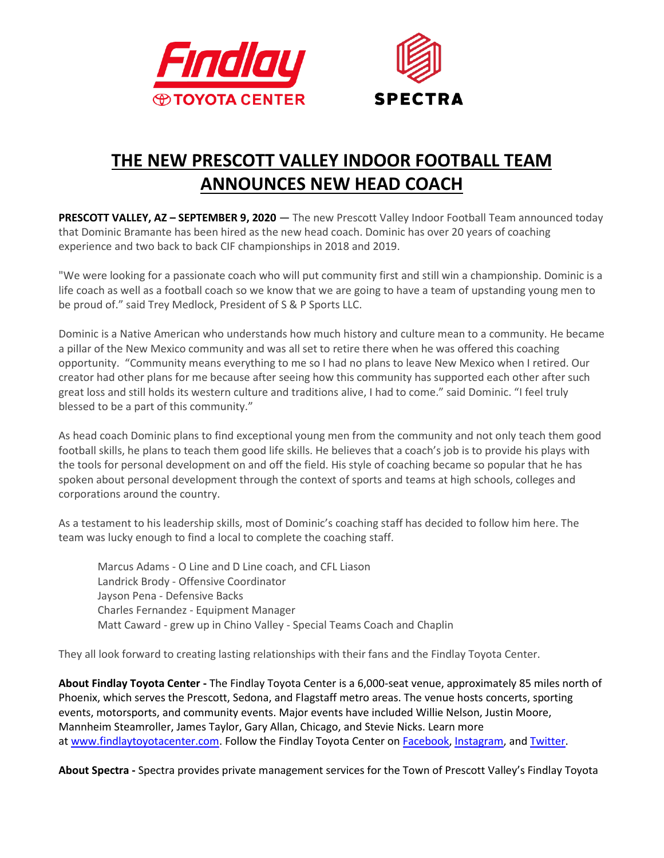



## **THE NEW PRESCOTT VALLEY INDOOR FOOTBALL TEAM ANNOUNCES NEW HEAD COACH**

**PRESCOTT VALLEY, AZ - SEPTEMBER 9, 2020 - The new Prescott Valley Indoor Football Team announced today** that Dominic Bramante has been hired as the new head coach. Dominic has over 20 years of coaching experience and two back to back CIF championships in 2018 and 2019.

"We were looking for a passionate coach who will put community first and still win a championship. Dominic is a life coach as well as a football coach so we know that we are going to have a team of upstanding young men to be proud of." said Trey Medlock, President of S & P Sports LLC.

Dominic is a Native American who understands how much history and culture mean to a community. He became a pillar of the New Mexico community and was all set to retire there when he was offered this coaching opportunity. "Community means everything to me so I had no plans to leave New Mexico when I retired. Our creator had other plans for me because after seeing how this community has supported each other after such great loss and still holds its western culture and traditions alive, I had to come." said Dominic. "I feel truly blessed to be a part of this community."

As head coach Dominic plans to find exceptional young men from the community and not only teach them good football skills, he plans to teach them good life skills. He believes that a coach's job is to provide his plays with the tools for personal development on and off the field. His style of coaching became so popular that he has spoken about personal development through the context of sports and teams at high schools, colleges and corporations around the country.

As a testament to his leadership skills, most of Dominic's coaching staff has decided to follow him here. The team was lucky enough to find a local to complete the coaching staff.

Marcus Adams - O Line and D Line coach, and CFL Liason Landrick Brody - Offensive Coordinator Jayson Pena - Defensive Backs Charles Fernandez - Equipment Manager Matt Caward - grew up in Chino Valley - Special Teams Coach and Chaplin

They all look forward to creating lasting relationships with their fans and the Findlay Toyota Center.

**About Findlay Toyota Center -** The Findlay Toyota Center is a 6,000-seat venue, approximately 85 miles north of Phoenix, which serves the Prescott, Sedona, and Flagstaff metro areas. The venue hosts concerts, sporting events, motorsports, and community events. Major events have included Willie Nelson, Justin Moore, Mannheim Steamroller, James Taylor, Gary Allan, Chicago, and Stevie Nicks. Learn more at [www.findlaytoyotacenter.com.](http://www.findlaytoyotacenter.com/) Follow the Findlay Toyota Center on [Facebook,](https://www.facebook.com/FindlayToyotaCenter/) [Instagram,](https://www.instagram.com/findlaytoyotacenter/) and [Twitter.](https://twitter.com/FindlayCenter)

**About Spectra -** Spectra provides private management services for the Town of Prescott Valley's Findlay Toyota